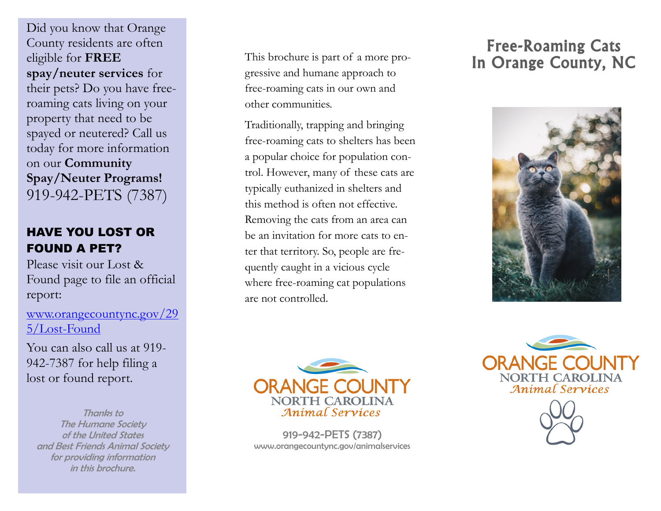Did you know that Orange County residents are often eligible for **FREE spay/neuter services** for their pets? Do you have free roaming cats living on your property that need to be spayed or neutered? Call us today for more information on our **Community Spay/Neuter Programs!** 919 -942 -PETS (7387)

# HAVE YOU LOST OR FOUND A PET?

Please visit our Lost & Found page to file an official report:

[www.orangecountync.gov/29](http://www.orangecountync.gov/295/Lost-Found) 5/Lost [-Found](http://www.orangecountync.gov/295/Lost-Found)

You can also call us at 919 - 942 -7387 for help filing a lost or found report.

Thanks to The Humane Society of the United States and Best Friends Animal Society for providing information in this brochure.

This brochure is part of a more progressive and humane approach to free -roaming cats in our own and other communities.

Traditionally, trapping and bringing free -roaming cats to shelters has been a popular choice for population control. However, many of these cats are typically euthanized in shelters and this method is often not effective. Removing the cats from an area can be an invitation for more cats to enter that territory. So, people are frequently caught in a vicious cycle where free -roaming cat populations are not controlled.

# Free -Roaming Cats In Orange County, NC





919 -942 -PETS (7387) www.orangecountync.gov/animalservices